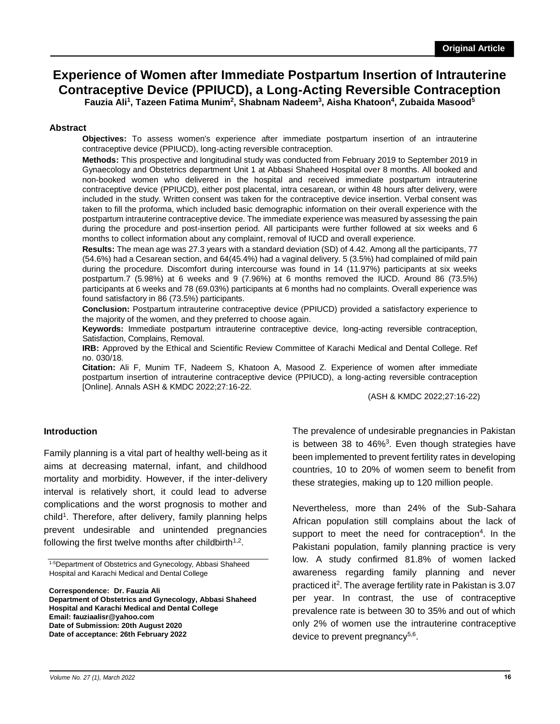### **Experience of Women after Immediate Postpartum Insertion of Intrauterine Contraceptive Device (PPIUCD), a Long-Acting Reversible Contraception Fauzia Ali<sup>1</sup> , Tazeen Fatima Munim<sup>2</sup> , Shabnam Nadeem<sup>3</sup> , Aisha Khatoon<sup>4</sup> , Zubaida Masood<sup>5</sup>**

#### **Abstract**

**Objectives:** To assess women's experience after immediate postpartum insertion of an intrauterine contraceptive device (PPIUCD), long-acting reversible contraception.

**Methods:** This prospective and longitudinal study was conducted from February 2019 to September 2019 in Gynaecology and Obstetrics department Unit 1 at Abbasi Shaheed Hospital over 8 months. All booked and non-booked women who delivered in the hospital and received immediate postpartum intrauterine contraceptive device (PPIUCD), either post placental, intra cesarean, or within 48 hours after delivery, were included in the study. Written consent was taken for the contraceptive device insertion. Verbal consent was taken to fill the proforma, which included basic demographic information on their overall experience with the postpartum intrauterine contraceptive device. The immediate experience was measured by assessing the pain during the procedure and post-insertion period. All participants were further followed at six weeks and 6 months to collect information about any complaint, removal of IUCD and overall experience.

**Results:** The mean age was 27.3 years with a standard deviation (SD) of 4.42. Among all the participants, 77 (54.6%) had a Cesarean section, and 64(45.4%) had a vaginal delivery. 5 (3.5%) had complained of mild pain during the procedure. Discomfort during intercourse was found in 14 (11.97%) participants at six weeks postpartum.7 (5.98%) at 6 weeks and 9 (7.96%) at 6 months removed the IUCD. Around 86 (73.5%) participants at 6 weeks and 78 (69.03%) participants at 6 months had no complaints. Overall experience was found satisfactory in 86 (73.5%) participants.

**Conclusion:** Postpartum intrauterine contraceptive device (PPIUCD) provided a satisfactory experience to the majority of the women, and they preferred to choose again.

**Keywords:** Immediate postpartum intrauterine contraceptive device, long-acting reversible contraception, Satisfaction, Complains, Removal.

**IRB:** Approved by the Ethical and Scientific Review Committee of Karachi Medical and Dental College. Ref no. 030/18.

**Citation:** Ali F, Munim TF, Nadeem S, Khatoon A, Masood Z. Experience of women after immediate postpartum insertion of intrauterine contraceptive device (PPIUCD), a long-acting reversible contraception [Online]. Annals ASH & KMDC 2022;27:16-22.

(ASH & KMDC 2022;27:16-22)

### **Introduction**

Family planning is a vital part of healthy well-being as it aims at decreasing maternal, infant, and childhood mortality and morbidity. However, if the inter-delivery interval is relatively short, it could lead to adverse complications and the worst prognosis to mother and child<sup>1</sup>. Therefore, after delivery, family planning helps prevent undesirable and unintended pregnancies following the first twelve months after childbirth<sup>1,2</sup>.

1-5Department of Obstetrics and Gynecology, Abbasi Shaheed Hospital and Karachi Medical and Dental College

**Correspondence: Dr. Fauzia Ali Department of Obstetrics and Gynecology, Abbasi Shaheed Hospital and Karachi Medical and Dental College Email: fauziaalisr@yahoo.com Date of Submission: 20th August 2020 Date of acceptance: 26th February 2022**

The prevalence of undesirable pregnancies in Pakistan is between 38 to  $46\%$ <sup>3</sup>. Even though strategies have been implemented to prevent fertility rates in developing countries, 10 to 20% of women seem to benefit from these strategies, making up to 120 million people.

Nevertheless, more than 24% of the Sub-Sahara African population still complains about the lack of support to meet the need for contraception<sup>4</sup>. In the Pakistani population, family planning practice is very low. A study confirmed 81.8% of women lacked awareness regarding family planning and never practiced it<sup>2</sup>. The average fertility rate in Pakistan is 3.07 per year. In contrast, the use of contraceptive prevalence rate is between 30 to 35% and out of which only 2% of women use the intrauterine contraceptive device to prevent pregnancy<sup>5,6</sup>.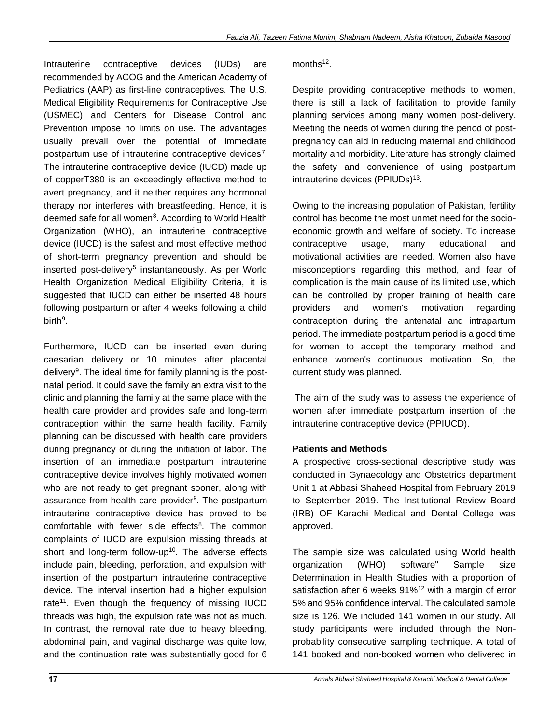Intrauterine contraceptive devices (IUDs) are recommended by ACOG and the American Academy of Pediatrics (AAP) as first-line contraceptives. The U.S. Medical Eligibility Requirements for Contraceptive Use (USMEC) and Centers for Disease Control and Prevention impose no limits on use. The advantages usually prevail over the potential of immediate postpartum use of intrauterine contraceptive devices<sup>7</sup>. The intrauterine contraceptive device (IUCD) made up of copperT380 is an exceedingly effective method to avert pregnancy, and it neither requires any hormonal therapy nor interferes with breastfeeding. Hence, it is deemed safe for all women<sup>8</sup>. According to World Health Organization (WHO), an intrauterine contraceptive device (IUCD) is the safest and most effective method of short-term pregnancy prevention and should be inserted post-delivery<sup>5</sup> instantaneously. As per World Health Organization Medical Eligibility Criteria, it is suggested that IUCD can either be inserted 48 hours following postpartum or after 4 weeks following a child birth<sup>9</sup>.

Furthermore, IUCD can be inserted even during caesarian delivery or 10 minutes after placental delivery<sup>9</sup>. The ideal time for family planning is the postnatal period. It could save the family an extra visit to the clinic and planning the family at the same place with the health care provider and provides safe and long-term contraception within the same health facility. Family planning can be discussed with health care providers during pregnancy or during the initiation of labor. The insertion of an immediate postpartum intrauterine contraceptive device involves highly motivated women who are not ready to get pregnant sooner, along with assurance from health care provider<sup>9</sup>. The postpartum intrauterine contraceptive device has proved to be comfortable with fewer side effects<sup>8</sup>. The common complaints of IUCD are expulsion missing threads at short and long-term follow-up<sup>10</sup>. The adverse effects include pain, bleeding, perforation, and expulsion with insertion of the postpartum intrauterine contraceptive device. The interval insertion had a higher expulsion rate<sup>11</sup>. Even though the frequency of missing IUCD threads was high, the expulsion rate was not as much. In contrast, the removal rate due to heavy bleeding, abdominal pain, and vaginal discharge was quite low, and the continuation rate was substantially good for 6

# months<sup>12</sup>.

Despite providing contraceptive methods to women, there is still a lack of facilitation to provide family planning services among many women post-delivery. Meeting the needs of women during the period of postpregnancy can aid in reducing maternal and childhood mortality and morbidity. Literature has strongly claimed the safety and convenience of using postpartum intrauterine devices (PPIUDs)<sup>13</sup>.

Owing to the increasing population of Pakistan, fertility control has become the most unmet need for the socioeconomic growth and welfare of society. To increase contraceptive usage, many educational and motivational activities are needed. Women also have misconceptions regarding this method, and fear of complication is the main cause of its limited use, which can be controlled by proper training of health care providers and women's motivation regarding contraception during the antenatal and intrapartum period. The immediate postpartum period is a good time for women to accept the temporary method and enhance women's continuous motivation. So, the current study was planned.

 The aim of the study was to assess the experience of women after immediate postpartum insertion of the intrauterine contraceptive device (PPIUCD).

# **Patients and Methods**

A prospective cross-sectional descriptive study was conducted in Gynaecology and Obstetrics department Unit 1 at Abbasi Shaheed Hospital from February 2019 to September 2019. The Institutional Review Board (IRB) OF Karachi Medical and Dental College was approved.

The sample size was calculated using World health organization (WHO) software" Sample size Determination in Health Studies with a proportion of satisfaction after 6 weeks  $91\%$ <sup>12</sup> with a margin of error 5% and 95% confidence interval. The calculated sample size is 126. We included 141 women in our study. All study participants were included through the Nonprobability consecutive sampling technique. A total of 141 booked and non-booked women who delivered in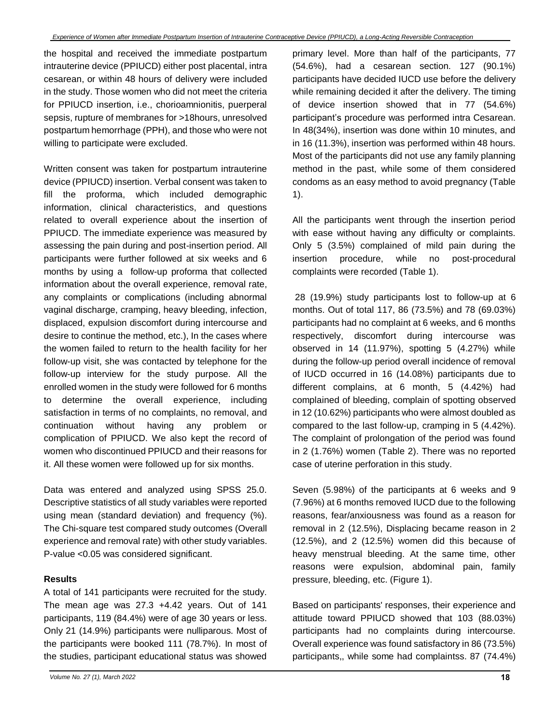the hospital and received the immediate postpartum intrauterine device (PPIUCD) either post placental, intra cesarean, or within 48 hours of delivery were included in the study. Those women who did not meet the criteria for PPIUCD insertion, i.e., chorioamnionitis, puerperal sepsis, rupture of membranes for >18hours, unresolved postpartum hemorrhage (PPH), and those who were not willing to participate were excluded.

Written consent was taken for postpartum intrauterine device (PPIUCD) insertion. Verbal consent was taken to fill the proforma, which included demographic information, clinical characteristics, and questions related to overall experience about the insertion of PPIUCD. The immediate experience was measured by assessing the pain during and post-insertion period. All participants were further followed at six weeks and 6 months by using a follow-up proforma that collected information about the overall experience, removal rate, any complaints or complications (including abnormal vaginal discharge, cramping, heavy bleeding, infection, displaced, expulsion discomfort during intercourse and desire to continue the method, etc.), In the cases where the women failed to return to the health facility for her follow-up visit, she was contacted by telephone for the follow-up interview for the study purpose. All the enrolled women in the study were followed for 6 months to determine the overall experience, including satisfaction in terms of no complaints, no removal, and continuation without having any problem or complication of PPIUCD. We also kept the record of women who discontinued PPIUCD and their reasons for it. All these women were followed up for six months.

Data was entered and analyzed using SPSS 25.0. Descriptive statistics of all study variables were reported using mean (standard deviation) and frequency (%). The Chi-square test compared study outcomes (Overall experience and removal rate) with other study variables. P-value <0.05 was considered significant.

### **Results**

A total of 141 participants were recruited for the study. The mean age was 27.3 +4.42 years. Out of 141 participants, 119 (84.4%) were of age 30 years or less. Only 21 (14.9%) participants were nulliparous. Most of the participants were booked 111 (78.7%). In most of the studies, participant educational status was showed

primary level. More than half of the participants, 77 (54.6%), had a cesarean section. 127 (90.1%) participants have decided IUCD use before the delivery while remaining decided it after the delivery. The timing of device insertion showed that in 77 (54.6%) participant's procedure was performed intra Cesarean. In 48(34%), insertion was done within 10 minutes, and in 16 (11.3%), insertion was performed within 48 hours. Most of the participants did not use any family planning method in the past, while some of them considered condoms as an easy method to avoid pregnancy (Table 1).

All the participants went through the insertion period with ease without having any difficulty or complaints. Only 5 (3.5%) complained of mild pain during the insertion procedure, while no post-procedural complaints were recorded (Table 1).

 28 (19.9%) study participants lost to follow-up at 6 months. Out of total 117, 86 (73.5%) and 78 (69.03%) participants had no complaint at 6 weeks, and 6 months respectively, discomfort during intercourse was observed in 14 (11.97%), spotting 5 (4.27%) while during the follow-up period overall incidence of removal of IUCD occurred in 16 (14.08%) participants due to different complains, at 6 month, 5 (4.42%) had complained of bleeding, complain of spotting observed in 12 (10.62%) participants who were almost doubled as compared to the last follow-up, cramping in 5 (4.42%). The complaint of prolongation of the period was found in 2 (1.76%) women (Table 2). There was no reported case of uterine perforation in this study.

Seven (5.98%) of the participants at 6 weeks and 9 (7.96%) at 6 months removed IUCD due to the following reasons, fear/anxiousness was found as a reason for removal in 2 (12.5%), Displacing became reason in 2 (12.5%), and 2 (12.5%) women did this because of heavy menstrual bleeding. At the same time, other reasons were expulsion, abdominal pain, family pressure, bleeding, etc. (Figure 1).

Based on participants' responses, their experience and attitude toward PPIUCD showed that 103 (88.03%) participants had no complaints during intercourse. Overall experience was found satisfactory in 86 (73.5%) participants,, while some had complaintss. 87 (74.4%)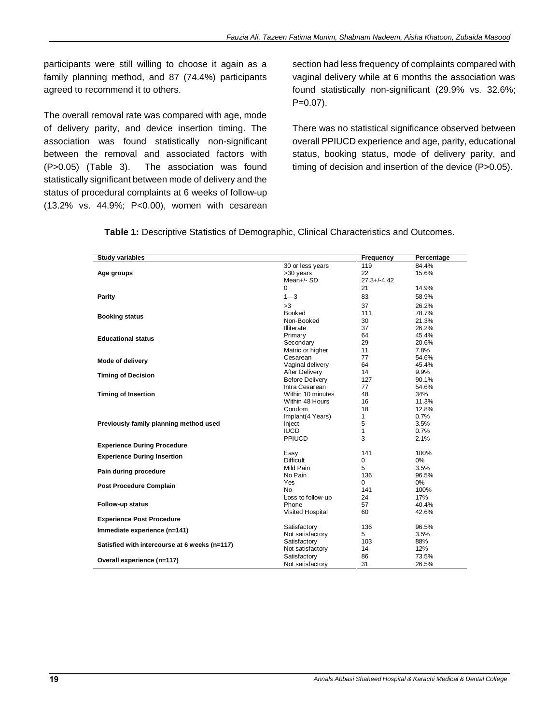participants were still willing to choose it again as a family planning method, and 87 (74.4%) participants agreed to recommend it to others.

The overall removal rate was compared with age, mode of delivery parity, and device insertion timing. The association was found statistically non-significant between the removal and associated factors with (P>0.05) (Table 3). The association was found statistically significant between mode of delivery and the status of procedural complaints at 6 weeks of follow-up (13.2% vs. 44.9%; P<0.00), women with cesarean

section had less frequency of complaints compared with vaginal delivery while at 6 months the association was found statistically non-significant (29.9% vs. 32.6%;  $P=0.07$ ).

There was no statistical significance observed between overall PPIUCD experience and age, parity, educational status, booking status, mode of delivery parity, and timing of decision and insertion of the device (P>0.05).

**Table 1:** Descriptive Statistics of Demographic, Clinical Characteristics and Outcomes.

| <b>Study variables</b>                        |                        | Frequency        | Percentage |
|-----------------------------------------------|------------------------|------------------|------------|
|                                               | 30 or less years       | 119              | 84.4%      |
| Age groups                                    | >30 years              | 22               | 15.6%      |
|                                               | Mean+/- SD             | $27.3 + (-4.42)$ |            |
|                                               | $\Omega$               | 21               | 14.9%      |
| Parity                                        | $1 - 3$                | 83               | 58.9%      |
|                                               | >3                     | 37               | 26.2%      |
|                                               | <b>Booked</b>          | 111              | 78.7%      |
| <b>Booking status</b>                         | Non-Booked             | 30               | 21.3%      |
|                                               | Illiterate             | 37               | 26.2%      |
| <b>Educational status</b>                     | Primary                | 64               | 45.4%      |
|                                               | Secondary              | 29               | 20.6%      |
|                                               | Matric or higher       | 11               | 7.8%       |
| Mode of delivery                              | Cesarean               | 77               | 54.6%      |
|                                               | Vaginal delivery       | 64               | 45.4%      |
| <b>Timing of Decision</b>                     | After Delivery         | 14               | 9.9%       |
|                                               | <b>Before Delivery</b> | 127              | 90.1%      |
|                                               | Intra Cesarean         | 77               | 54.6%      |
| <b>Timing of Insertion</b>                    | Within 10 minutes      | 48               | 34%        |
|                                               | Within 48 Hours        | 16               | 11.3%      |
|                                               | Condom                 | 18               | 12.8%      |
|                                               | Implant(4 Years)       | 1                | 0.7%       |
| Previously family planning method used        | Inject                 | 5                | 3.5%       |
|                                               | <b>IUCD</b>            | 1                | 0.7%       |
|                                               | PPIUCD                 | 3                | 2.1%       |
| <b>Experience During Procedure</b>            |                        |                  |            |
| <b>Experience During Insertion</b>            | Easy                   | 141              | 100%       |
|                                               | <b>Difficult</b>       | $\mathbf 0$      | 0%         |
| Pain during procedure                         | Mild Pain              | 5                | 3.5%       |
|                                               | No Pain                | 136              | 96.5%      |
| <b>Post Procedure Complain</b>                | Yes                    | $\Omega$         | 0%         |
|                                               | No.                    | 141              | 100%       |
|                                               | Loss to follow-up      | 24               | 17%        |
| Follow-up status                              | Phone                  | 57               | 40.4%      |
|                                               | Visited Hospital       | 60               | 42.6%      |
| <b>Experience Post Procedure</b>              |                        |                  |            |
| Immediate experience (n=141)                  | Satisfactory           | 136              | 96.5%      |
|                                               | Not satisfactory       | 5                | 3.5%       |
| Satisfied with intercourse at 6 weeks (n=117) | Satisfactory           | 103              | 88%        |
|                                               | Not satisfactory       | 14               | 12%        |
| Overall experience (n=117)                    | Satisfactory           | 86               | 73.5%      |
|                                               | Not satisfactory       | 31               | 26.5%      |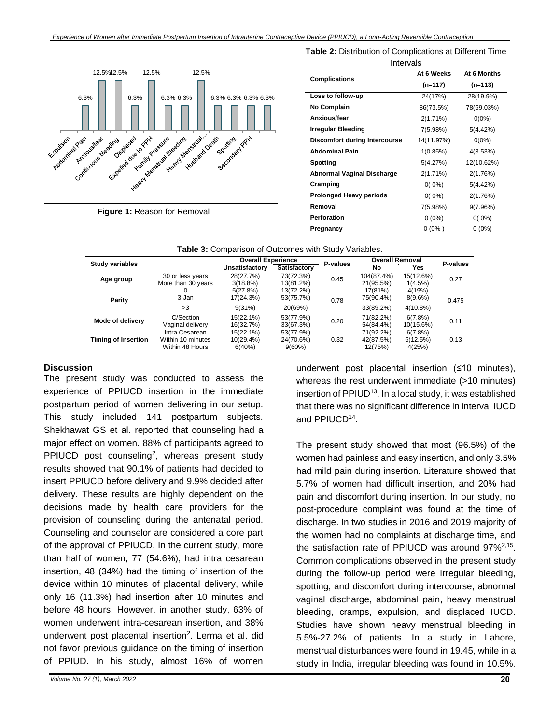

Intervals **Complications At 6 Weeks (n=117) At 6 Months (n=113) Loss to follow-up** 24(17%) 28(19.9%) **No Complain** 86(73.5%) 78(69.03%) **Anxious/fear** 2(1.71%) 0(0%) **Irregular Bleeding** 7(5.98%) 5(4.42%) **Discomfort during Intercourse** 14(11.97%) 0(0%) **Abdominal Pain** 1(0.85%) 4(3.53%) **Spotting** 5(4.27%) 12(10.62%) **Abnormal Vaginal Discharge** 2(1.71%) 2(1.76%) **Cramping** 0( 0%) 5(4.42%) **Prolonged Heavy periods**  $0(0\%)$  2(1.76%) **Removal** 7(5.98%) 9(7.96%) **Perforation** 0 (0%) 0 (0%) **Pregnancy** 0 (0%) 0 (0%)

**Table 2:** Distribution of Complications at Different Time

**Figure 1:** Reason for Removal

| <b>Study variables</b> |                    | <b>Overall Experience</b> |                     | P-values | <b>Overall Removal</b> |             | P-values |
|------------------------|--------------------|---------------------------|---------------------|----------|------------------------|-------------|----------|
|                        |                    | Unsatisfactorv            | <b>Satisfactory</b> |          | No                     | Yes         |          |
| Age group              | 30 or less years   | 28(27.7%)                 | 73(72.3%)           | 0.45     | 104(87.4%)             | 15(12.6%)   | 0.27     |
|                        | More than 30 years | 3(18.8%)                  | 13(81.2%)           |          | 21(95.5%)              | 1(4.5%)     |          |
|                        |                    | 5(27.8%)                  | 13(72.2%)           |          | 17(81%)                | 4(19%)      |          |
| Parity                 | 3-Jan              | 17(24.3%)                 | 53(75.7%)           | 0.78     | 75(90.4%)              | $8(9.6\%)$  | 0.475    |
|                        | >3                 | 9(31%)                    | 20(69%)             |          | 33(89.2%)              | $4(10.8\%)$ |          |
| Mode of delivery       | C/Section          | 15(22.1%)                 | 53(77.9%)           | 0.20     | 71(82.2%)              | 6(7.8%)     | 0.11     |
|                        | Vaginal delivery   | 16(32.7%)                 | 33(67.3%)           |          | 54(84.4%)              | 10(15.6%)   |          |
| Timing of Insertion    | Intra Cesarean     | 15(22.1%)                 | 53(77.9%)           | 0.32     | 71(92.2%)              | 6(7.8%)     | 0.13     |
|                        | Within 10 minutes  | 10(29.4%)                 | 24(70.6%)           |          | 42(87.5%)              | 6(12.5%)    |          |
|                        | Within 48 Hours    | 6(40%)                    | $9(60\%)$           |          | 12(75%)                | 4(25%)      |          |

| Table 3: Comparison of Outcomes with Study Variables. |  |  |  |
|-------------------------------------------------------|--|--|--|
|-------------------------------------------------------|--|--|--|

#### **Discussion**

The present study was conducted to assess the experience of PPIUCD insertion in the immediate postpartum period of women delivering in our setup. This study included 141 postpartum subjects. Shekhawat GS et al. reported that counseling had a major effect on women. 88% of participants agreed to PPIUCD post counseling<sup>2</sup>, whereas present study results showed that 90.1% of patients had decided to insert PPIUCD before delivery and 9.9% decided after delivery. These results are highly dependent on the decisions made by health care providers for the provision of counseling during the antenatal period. Counseling and counselor are considered a core part of the approval of PPIUCD. In the current study, more than half of women, 77 (54.6%), had intra cesarean insertion, 48 (34%) had the timing of insertion of the device within 10 minutes of placental delivery, while only 16 (11.3%) had insertion after 10 minutes and before 48 hours. However, in another study, 63% of women underwent intra-cesarean insertion, and 38% underwent post placental insertion<sup>2</sup>. Lerma et al. did not favor previous guidance on the timing of insertion of PPIUD. In his study, almost 16% of women

underwent post placental insertion (≤10 minutes), whereas the rest underwent immediate (>10 minutes) insertion of PPIUD<sup>13</sup>. In a local study, it was established that there was no significant difference in interval IUCD and PPIUCD<sup>14</sup> .

The present study showed that most (96.5%) of the women had painless and easy insertion, and only 3.5% had mild pain during insertion. Literature showed that 5.7% of women had difficult insertion, and 20% had pain and discomfort during insertion. In our study, no post-procedure complaint was found at the time of discharge. In two studies in 2016 and 2019 majority of the women had no complaints at discharge time, and the satisfaction rate of PPIUCD was around 97%<sup>2,15</sup>. Common complications observed in the present study during the follow-up period were irregular bleeding, spotting, and discomfort during intercourse, abnormal vaginal discharge, abdominal pain, heavy menstrual bleeding, cramps, expulsion, and displaced IUCD. Studies have shown heavy menstrual bleeding in 5.5%-27.2% of patients. In a study in Lahore, menstrual disturbances were found in 19.45, while in a study in India, irregular bleeding was found in 10.5%.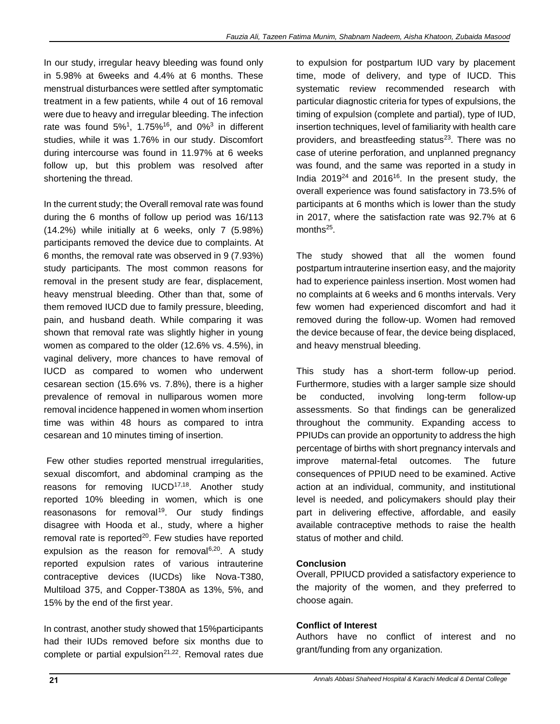In our study, irregular heavy bleeding was found only in 5.98% at 6weeks and 4.4% at 6 months. These menstrual disturbances were settled after symptomatic treatment in a few patients, while 4 out of 16 removal were due to heavy and irregular bleeding. The infection rate was found  $5\%$ <sup>1</sup>, 1.75%<sup>16</sup>, and 0%<sup>3</sup> in different studies, while it was 1.76% in our study. Discomfort during intercourse was found in 11.97% at 6 weeks follow up, but this problem was resolved after shortening the thread.

In the current study; the Overall removal rate was found during the 6 months of follow up period was 16/113 (14.2%) while initially at 6 weeks, only 7 (5.98%) participants removed the device due to complaints. At 6 months, the removal rate was observed in 9 (7.93%) study participants. The most common reasons for removal in the present study are fear, displacement, heavy menstrual bleeding. Other than that, some of them removed IUCD due to family pressure, bleeding, pain, and husband death. While comparing it was shown that removal rate was slightly higher in young women as compared to the older (12.6% vs. 4.5%), in vaginal delivery, more chances to have removal of IUCD as compared to women who underwent cesarean section (15.6% vs. 7.8%), there is a higher prevalence of removal in nulliparous women more removal incidence happened in women whom insertion time was within 48 hours as compared to intra cesarean and 10 minutes timing of insertion.

 Few other studies reported menstrual irregularities, sexual discomfort, and abdominal cramping as the reasons for removing  $IUCD^{17,18}$ . Another study reported 10% bleeding in women, which is one reasonasons for removal<sup>19</sup>. Our study findings disagree with Hooda et al., study, where a higher removal rate is reported $20$ . Few studies have reported expulsion as the reason for removal $6,20$ . A study reported expulsion rates of various intrauterine contraceptive devices (IUCDs) like Nova‐T380, Multiload 375, and Copper‐T380A as 13%, 5%, and 15% by the end of the first year.

In contrast, another study showed that 15%participants had their IUDs removed before six months due to complete or partial expulsion $21,22$ . Removal rates due to expulsion for postpartum IUD vary by placement time, mode of delivery, and type of IUCD. This systematic review recommended research with particular diagnostic criteria for types of expulsions, the timing of expulsion (complete and partial), type of IUD, insertion techniques, level of familiarity with health care providers, and breastfeeding status $23$ . There was no case of uterine perforation, and unplanned pregnancy was found, and the same was reported in a study in India  $2019^{24}$  and  $2016^{16}$ . In the present study, the overall experience was found satisfactory in 73.5% of participants at 6 months which is lower than the study in 2017, where the satisfaction rate was 92.7% at 6 months<sup>25</sup>.

The study showed that all the women found postpartum intrauterine insertion easy, and the majority had to experience painless insertion. Most women had no complaints at 6 weeks and 6 months intervals. Very few women had experienced discomfort and had it removed during the follow-up. Women had removed the device because of fear, the device being displaced, and heavy menstrual bleeding.

This study has a short-term follow-up period. Furthermore, studies with a larger sample size should be conducted, involving long-term follow-up assessments. So that findings can be generalized throughout the community. Expanding access to PPIUDs can provide an opportunity to address the high percentage of births with short pregnancy intervals and improve maternal-fetal outcomes. The future consequences of PPIUD need to be examined. Active action at an individual, community, and institutional level is needed, and policymakers should play their part in delivering effective, affordable, and easily available contraceptive methods to raise the health status of mother and child.

### **Conclusion**

Overall, PPIUCD provided a satisfactory experience to the majority of the women, and they preferred to choose again.

### **Conflict of Interest**

Authors have no conflict of interest and no grant/funding from any organization.